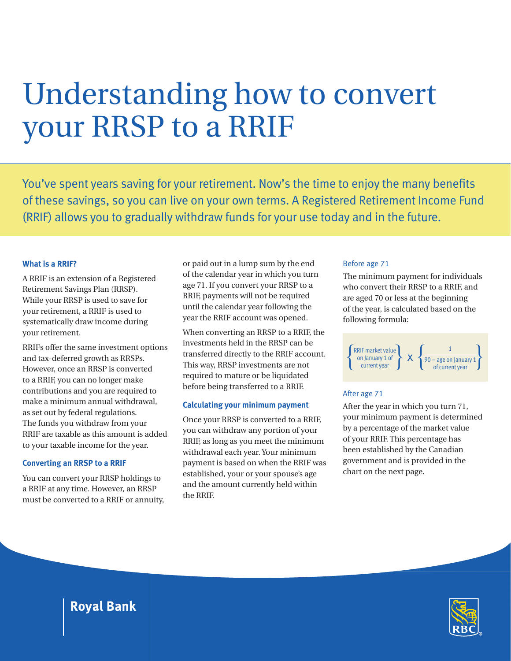# Understanding how to convert your RRSP to a RRIF

You've spent years saving for your retirement. Now's the time to enjoy the many benefits of these savings, so you can live on your own terms. A Registered Retirement Income Fund (RRIF) allows you to gradually withdraw funds for your use today and in the future.

# **What is a RRIF?**

A RRIF is an extension of a Registered Retirement Savings Plan (RRSP). While your RRSP is used to save for your retirement, a RRIF is used to systematically draw income during your retirement.

RRIFs offer the same investment options and tax-deferred growth as RRSPs. However, once an RRSP is converted to a RRIF, you can no longer make contributions and you are required to make a minimum annual withdrawal, as set out by federal regulations. The funds you withdraw from your RRIF are taxable as this amount is added to your taxable income for the year.

# **Converting an RRSP to a RRIF**

You can convert your RRSP holdings to a RRIF at any time. However, an RRSP must be converted to a RRIF or annuity, or paid out in a lump sum by the end of the calendar year in which you turn age 71. If you convert your RRSP to a RRIF, payments will not be required until the calendar year following the year the RRIF account was opened.

When converting an RRSP to a RRIF, the investments held in the RRSP can be transferred directly to the RRIF account. This way, RRSP investments are not required to mature or be liquidated before being transferred to a RRIF.

# **Calculating your minimum payment**

Once your RRSP is converted to a RRIF, you can withdraw any portion of your RRIF, as long as you meet the minimum withdrawal each year. Your minimum payment is based on when the RRIF was established, your or your spouse's age and the amount currently held within the RRIF.

#### Before age 71

The minimum payment for individuals who convert their RRSP to a RRIF, and are aged 70 or less at the beginning of the year, is calculated based on the following formula:



# After age 71

After the year in which you turn 71, your minimum payment is determined by a percentage of the market value of your RRIF. This percentage has been established by the Canadian government and is provided in the chart on the next page.



**Royal Bank**